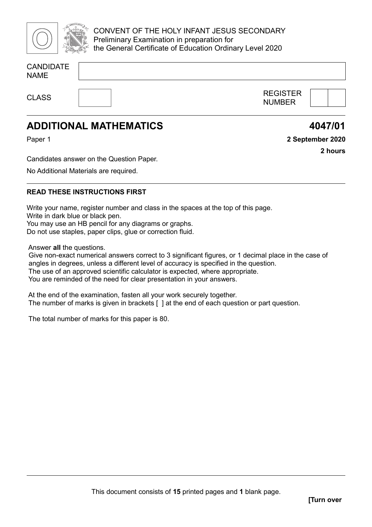

CONVENT OF THE HOLY INFANT JESUS SECONDARY Preliminary Examination in preparation for the General Certificate of Education Ordinary Level 2020

| <b>CANDIDATE</b> |  |  |  |
|------------------|--|--|--|
| <b>NAME</b>      |  |  |  |
|                  |  |  |  |
|                  |  |  |  |

CLASS THE REGISTER NUMBER



**4047/01**

**2 hours**

**2 September 2020**

# **ADDITIONAL MATHEMATICS**

Paper 1

Candidates answer on the Question Paper.

No Additional Materials are required.

### **READ THESE INSTRUCTIONS FIRST**

Write your name, register number and class in the spaces at the top of this page. Write in dark blue or black pen. You may use an HB pencil for any diagrams or graphs. Do not use staples, paper clips, glue or correction fluid.

Answer **all** the questions.

Give non-exact numerical answers correct to 3 significant figures, or 1 decimal place in the case of angles in degrees, unless a different level of accuracy is specified in the question. The use of an approved scientific calculator is expected, where appropriate. You are reminded of the need for clear presentation in your answers.

At the end of the examination, fasten all your work securely together. The number of marks is given in brackets [ ] at the end of each question or part question.

The total number of marks for this paper is 80.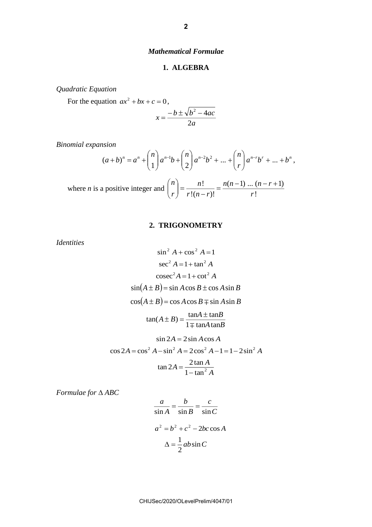#### *Mathematical Formulae*

#### **1. ALGEBRA**

*Quadratic Equation*

For the equation  $ax^2 + bx + c = 0$ ,

$$
x = \frac{-b \pm \sqrt{b^2 - 4ac}}{2a}
$$

*Binomial expansion*

$$
(a+b)^n = a^n + \binom{n}{1}a^{n-1}b + \binom{n}{2}a^{n-2}b^2 + \dots + \binom{n}{r}a^{n-r}b^r + \dots + b^n,
$$

where *n* is a positive integer and 
$$
\binom{n}{r} = \frac{n!}{r!(n-r)!} = \frac{n(n-1)...(n-r+1)}{r!}
$$

#### **2. TRIGONOMETRY**

*Identities*

$$
\sin^2 A + \cos^2 A = 1
$$
  
\n
$$
\sec^2 A = 1 + \tan^2 A
$$
  
\n
$$
\csc^2 A = 1 + \cot^2 A
$$
  
\n
$$
\sin(A \pm B) = \sin A \cos B \pm \cos A \sin B
$$
  
\n
$$
\cos(A \pm B) = \cos A \cos B \mp \sin A \sin B
$$
  
\n
$$
\tan(A \pm B) = \frac{\tan A \pm \tan B}{1 \mp \tan A \tan B}
$$
  
\n
$$
\sin 2A = 2 \sin A \cos A
$$
  
\n
$$
\cos 2A = \cos^2 A - \sin^2 A = 2 \cos^2 A - 1 = 1 - 2 \sin^2 A
$$
  
\n
$$
\tan 2A = \frac{2 \tan A}{1 - \tan^2 A}
$$

*Formulae for ABC*

$$
\frac{a}{\sin A} = \frac{b}{\sin B} = \frac{c}{\sin C}
$$

$$
a^2 = b^2 + c^2 - 2bc \cos A
$$

$$
\Delta = \frac{1}{2}ab\sin C
$$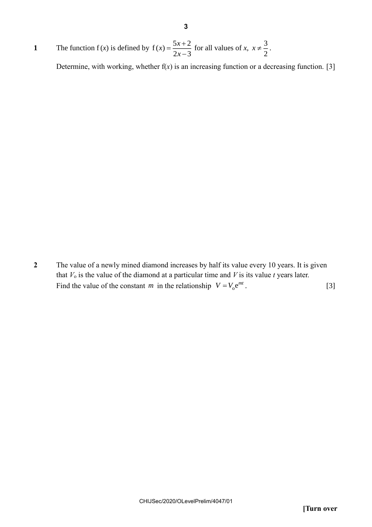**1** The function  $f(x)$  is defined by  $f(x) = \frac{5x+2}{2}$  $2x - 3$  $f(x) = \frac{5x}{2}$ *x*  $=\frac{5x+}{2}$  $\overline{a}$ for all values of *x*,  $x \neq \frac{3}{2}$  $x \neq \frac{3}{2}$ .

Determine, with working, whether  $f(x)$  is an increasing function or a decreasing function. [3]

**2** The value of a newly mined diamond increases by half its value every 10 years. It is given that *V*<sup>o</sup> is the value of the diamond at a particular time and *V* is its value *t* years later. Find the value of the constant *m* in the relationship  $V = V_0 e^{mt}$ . [3]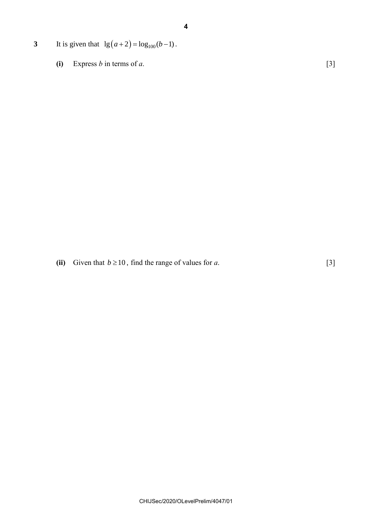- **3** It is given that  $\lg(a+2) = \log_{100}(b-1)$ .
	- (i) Express *b* in terms of *a*.  $[3]$

(ii) Given that  $b \ge 10$ , find the range of values for *a*. [3]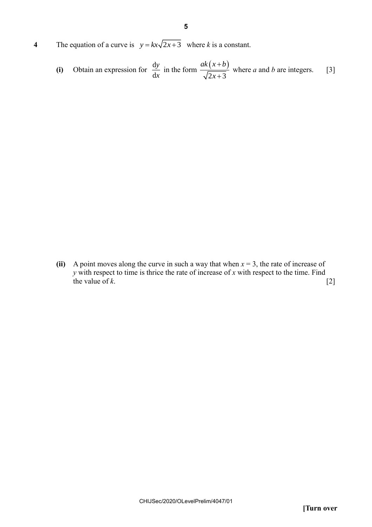**4** The equation of a curve is  $y = kx\sqrt{2x+3}$  where *k* is a constant.

(i) Obtain an expression for 
$$
\frac{dy}{dx}
$$
 in the form  $\frac{ak(x+b)}{\sqrt{2x+3}}$  where *a* and *b* are integers. [3]

**(ii)** A point moves along the curve in such a way that when *x* = 3, the rate of increase of *y* with respect to time is thrice the rate of increase of *x* with respect to the time. Find the value of  $k$ . [2]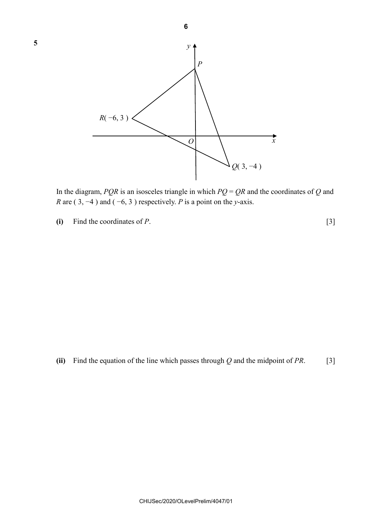

In the diagram, *PQR* is an isosceles triangle in which  $PQ = QR$  and the coordinates of *Q* and *R* are (3, −4) and (−6, 3) respectively. *P* is a point on the *y*-axis.

**(i)** Find the coordinates of *P*. [3]

**5**

**(ii)** Find the equation of the line which passes through *Q* and the midpoint of *PR*. [3]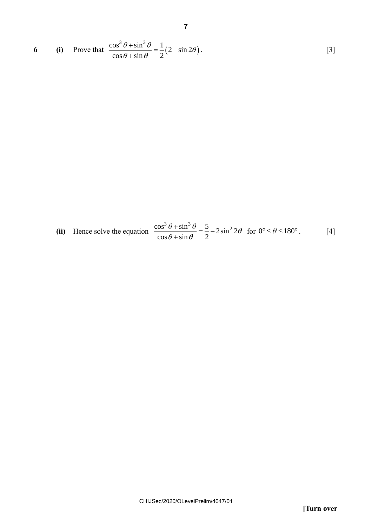6 (i) Prove that 
$$
\frac{\cos^3 \theta + \sin^3 \theta}{\cos \theta + \sin \theta} = \frac{1}{2} (2 - \sin 2\theta).
$$
 [3]

**7**

(ii) Hence solve the equation 
$$
\frac{\cos^3 \theta + \sin^3 \theta}{\cos \theta + \sin \theta} = \frac{5}{2} - 2\sin^2 2\theta \text{ for } 0^\circ \le \theta \le 180^\circ.
$$
 [4]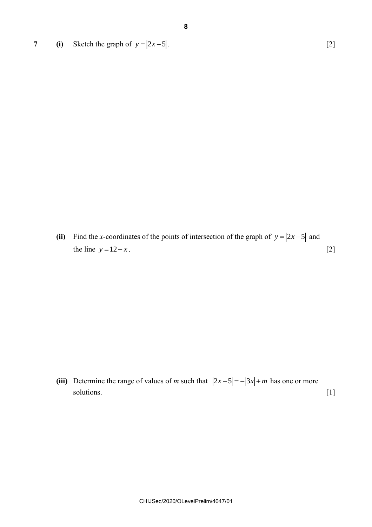**7 (i)** Sketch the graph of  $y = |2x-5|$ . [2]

(ii) Find the *x*-coordinates of the points of intersection of the graph of  $y = |2x-5|$  and the line  $y = 12 - x$ . [2]

(iii) Determine the range of values of *m* such that  $|2x-5| = -|3x| + m$  has one or more solutions. [1]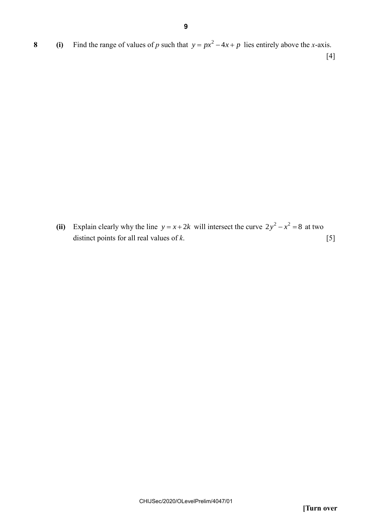**8 (i)** Find the range of values of *p* such that  $y = px^2 - 4x + p$  lies entirely above the *x*-axis.

[4]

(ii) Explain clearly why the line  $y = x + 2k$  will intersect the curve  $2y^2 - x^2 = 8$  at two distinct points for all real values of *k*. [5]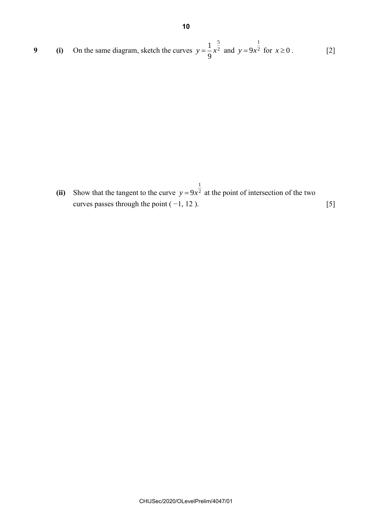9 (i) On the same diagram, sketch the curves 
$$
y = \frac{1}{9}x^{\frac{5}{2}}
$$
 and  $y = 9x^{\frac{1}{2}}$  for  $x \ge 0$ . [2]

**(ii)** Show that the tangent to the curve 1  $y = 9x^2$  at the point of intersection of the two curves passes through the point  $(-1, 12)$ . [5]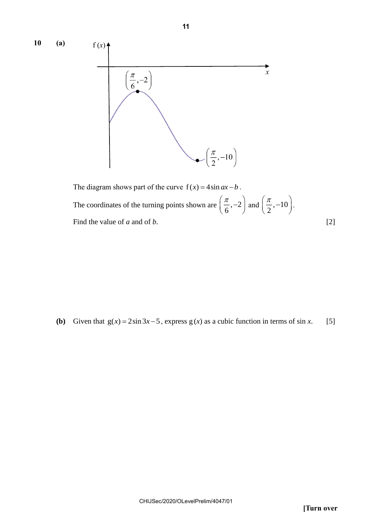

The diagram shows part of the curve  $f(x) = 4 \sin ax - b$ . The coordinates of the turning points shown are  $\left[\frac{1}{2}, -2\right]$ 6  $(\pi)$  $\left(\frac{1}{6}, -2\right)$ and  $\left(\frac{\pi}{2}, -10\right)$  $\begin{pmatrix} \pi & 1 \end{pmatrix}$  $\left(\frac{\overline{}}{2},-10\right)$ . Find the value of *a* and of *b*. [2]

**(b)** Given that  $g(x) = 2\sin 3x - 5$ , express  $g(x)$  as a cubic function in terms of sin *x*. [5]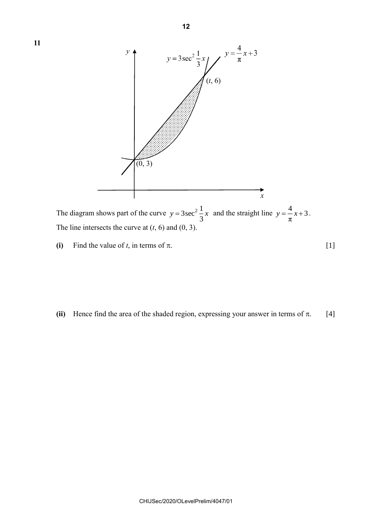

(i) Find the value of *t*, in terms of  $\pi$ . [1]

**11**

(ii) Hence find the area of the shaded region, expressing your answer in terms of  $\pi$ . [4]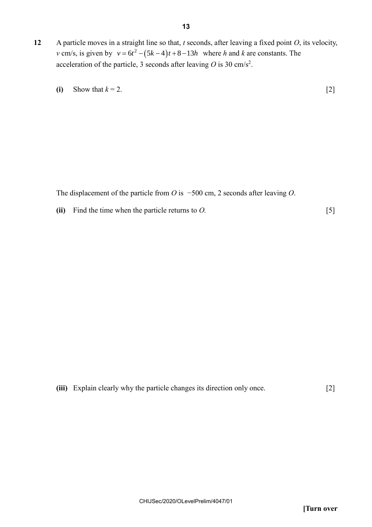- **12** A particle moves in a straight line so that, *t* seconds, after leaving a fixed point *O*, its velocity, *v* cm/s, is given by  $v = 6t^2 - (5k - 4)t + 8 - 13h$  where *h* and *k* are constants. The acceleration of the particle, 3 seconds after leaving  $O$  is 30 cm/s<sup>2</sup>.
	- **(i)** Show that  $k = 2$ . [2]

The displacement of the particle from *O* is −500 cm, 2 seconds after leaving *O*.

**(ii)** Find the time when the particle returns to *O.* [5]

```
(iii) Explain clearly why the particle changes its direction only once. [2]
```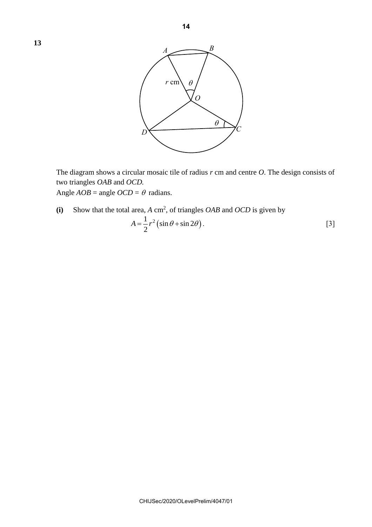

The diagram shows a circular mosaic tile of radius *r* cm and centre *O*. The design consists of two triangles *OAB* and *OCD.* Angle  $AOB$  = angle  $OCD = \theta$  radians.

(i) Show that the total area,  $A \text{ cm}^2$ , of triangles *OAB* and *OCD* is given by  $A = \frac{1}{2}r^2(\sin\theta + \sin 2\theta)$  $A = \frac{1}{2}r^2(\sin\theta + \sin 2\theta).$  [3]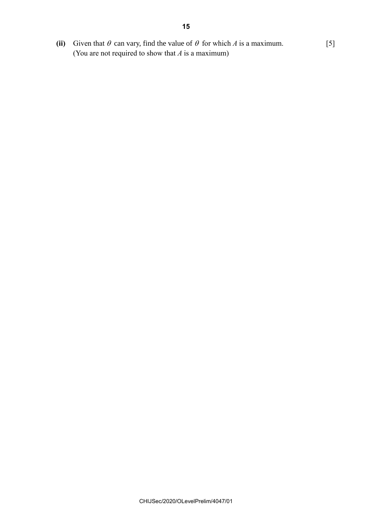(ii) Given that  $\theta$  can vary, find the value of  $\theta$  for which *A* is a maximum. [5] (You are not required to show that *A* is a maximum)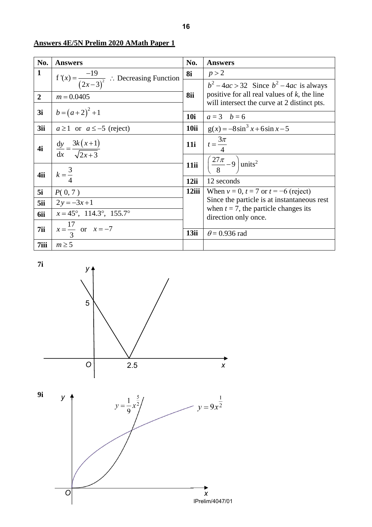| No.            | <b>Answers</b>                                       | No.   | <b>Answers</b>                                                                                                                                               |  |
|----------------|------------------------------------------------------|-------|--------------------------------------------------------------------------------------------------------------------------------------------------------------|--|
| $\mathbf{1}$   | f'(x) = $\frac{-19}{(2x-3)^2}$ : Decreasing Function |       | p > 2                                                                                                                                                        |  |
|                |                                                      |       | $b^2-4ac > 32$ Since $b^2-4ac$ is always<br>positive for all real values of $k$ , the line<br>will intersect the curve at 2 distinct pts.<br>$a = 3$ $b = 6$ |  |
| $\overline{2}$ | $m = 0.0405$                                         |       |                                                                                                                                                              |  |
| 3i             | $b=(a+2)^2+1$                                        |       |                                                                                                                                                              |  |
|                |                                                      |       |                                                                                                                                                              |  |
| 4i             | $\frac{dy}{dx} = \frac{3k(x+1)}{\sqrt{2x+3}}$        | 11i   | $t = \frac{3\pi}{4}$                                                                                                                                         |  |
|                |                                                      | 11ii  | $\left(\frac{27\pi}{8}-9\right)$ units <sup>2</sup>                                                                                                          |  |
| 4ii            | $k=\frac{3}{4}$                                      |       | 12 seconds                                                                                                                                                   |  |
| 5i             | P(0, 7)                                              | 12iii | When $v = 0$ , $t = 7$ or $t = -6$ (reject)                                                                                                                  |  |
| 5ii            | $2y = -3x+1$                                         |       | Since the particle is at instantaneous rest<br>when $t = 7$ , the particle changes its                                                                       |  |
| 6ii            | $x = 45^{\circ}, 114.3^{\circ}, 155.7^{\circ}$       |       | direction only once.                                                                                                                                         |  |
| 7ii            | $x = \frac{17}{3}$ or $x = -7$                       | 13ii  |                                                                                                                                                              |  |
|                |                                                      |       | $\theta$ = 0.936 rad                                                                                                                                         |  |
| 7iii           | $m \geq 5$                                           |       |                                                                                                                                                              |  |

## **Answers 4E/5N Prelim 2020 AMath Paper 1**



**16**